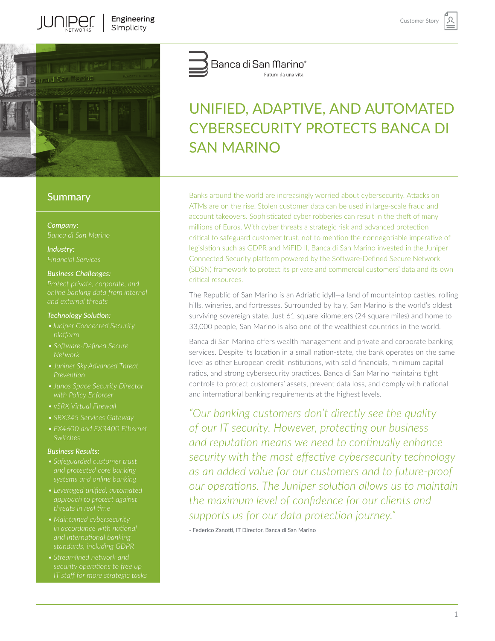

Il INIPED

# **Summary**

*Company:*

*Industry:*

#### *Business Challenges:*

*online banking data from internal* 

#### *Technology Solution:*

- *platform*
- *Network*
- *• Juniper Sky Advanced Threat*
- *• Junos Space Security Director*
- *• vSRX Virtual Firewall*
- *• SRX345 Services Gateway*
- *• EX4600 and EX3400 Ethernet*

#### *Business Results:*

- *• Safeguarded customer trust*
- *approach to protect against*
- *• Maintained cybersecurity*
- *• Streamlined network and security operations to free up*



# UNIFIED, ADAPTIVE, AND AUTOMATED CYBERSECURITY PROTECTS BANCA DI SAN MARINO

Banks around the world are increasingly worried about cybersecurity. Attacks on ATMs are on the rise. Stolen customer data can be used in large-scale fraud and account takeovers. Sophisticated cyber robberies can result in the theft of many millions of Euros. With cyber threats a strategic risk and advanced protection critical to safeguard customer trust, not to mention the nonnegotiable imperative of legislation such as GDPR and MiFID II, Banca di San Marino invested in the Juniper Connected Security platform powered by the Software-Defined Secure Network (SDSN) framework to protect its private and commercial customers' data and its own critical resources.

The Republic of San Marino is an Adriatic idyll—a land of mountaintop castles, rolling hills, wineries, and fortresses. Surrounded by Italy, San Marino is the world's oldest surviving sovereign state. Just 61 square kilometers (24 square miles) and home to 33,000 people, San Marino is also one of the wealthiest countries in the world.

Banca di San Marino offers wealth management and private and corporate banking services. Despite its location in a small nation-state, the bank operates on the same level as other European credit institutions, with solid financials, minimum capital ratios, and strong cybersecurity practices. Banca di San Marino maintains tight controls to protect customers' assets, prevent data loss, and comply with national and international banking requirements at the highest levels.

*"Our banking customers don't directly see the quality of our IT security. However, protecting our business and reputation means we need to continually enhance security with the most effective cybersecurity technology as an added value for our customers and to future-proof our operations. The Juniper solution allows us to maintain the maximum level of confidence for our clients and supports us for our data protection journey."*

- Federico Zanotti, IT Director, Banca di San Marino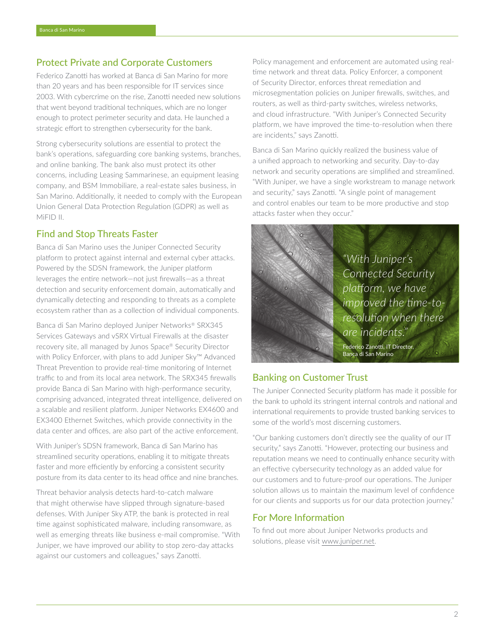## Protect Private and Corporate Customers

Federico Zanotti has worked at Banca di San Marino for more than 20 years and has been responsible for IT services since 2003. With cybercrime on the rise, Zanotti needed new solutions that went beyond traditional techniques, which are no longer enough to protect perimeter security and data. He launched a strategic effort to strengthen cybersecurity for the bank.

Strong cybersecurity solutions are essential to protect the bank's operations, safeguarding core banking systems, branches, and online banking. The bank also must protect its other concerns, including Leasing Sammarinese, an equipment leasing company, and BSM Immobiliare, a real-estate sales business, in San Marino. Additionally, it needed to comply with the European Union General Data Protection Regulation (GDPR) as well as MiFID II.

## Find and Stop Threats Faster

Banca di San Marino uses the Juniper Connected Security platform to protect against internal and external cyber attacks. Powered by the SDSN framework, the Juniper platform leverages the entire network—not just firewalls—as a threat detection and security enforcement domain, automatically and dynamically detecting and responding to threats as a complete ecosystem rather than as a collection of individual components.

Banca di San Marino deployed Juniper Networks® SRX345 Services Gateways and vSRX Virtual Firewalls at the disaster recovery site, all managed by Junos Space® Security Director with Policy Enforcer, with plans to add Juniper Sky™ Advanced Threat Prevention to provide real-time monitoring of Internet traffic to and from its local area network. The SRX345 firewalls provide Banca di San Marino with high-performance security, comprising advanced, integrated threat intelligence, delivered on a scalable and resilient platform. Juniper Networks EX4600 and EX3400 Ethernet Switches, which provide connectivity in the data center and offices, are also part of the active enforcement.

With Juniper's SDSN framework, Banca di San Marino has streamlined security operations, enabling it to mitigate threats faster and more efficiently by enforcing a consistent security posture from its data center to its head office and nine branches.

Threat behavior analysis detects hard-to-catch malware that might otherwise have slipped through signature-based defenses. With Juniper Sky ATP, the bank is protected in real time against sophisticated malware, including ransomware, as well as emerging threats like business e-mail compromise. "With Juniper, we have improved our ability to stop zero-day attacks against our customers and colleagues," says Zanotti.

Policy management and enforcement are automated using realtime network and threat data. Policy Enforcer, a component of Security Director, enforces threat remediation and microsegmentation policies on Juniper firewalls, switches, and routers, as well as third-party switches, wireless networks, and cloud infrastructure. "With Juniper's Connected Security platform, we have improved the time-to-resolution when there are incidents," says Zanotti.

Banca di San Marino quickly realized the business value of a unified approach to networking and security. Day-to-day network and security operations are simplified and streamlined. "With Juniper, we have a single workstream to manage network and security," says Zanotti. "A single point of management and control enables our team to be more productive and stop attacks faster when they occur."



*"With Juniper's Connected Security platform, we have improved the time-toresolution when there are incidents."* Federico Zanotti, IT Director, Banca di San Marino

### Banking on Customer Trust

The Juniper Connected Security platform has made it possible for the bank to uphold its stringent internal controls and national and international requirements to provide trusted banking services to some of the world's most discerning customers.

"Our banking customers don't directly see the quality of our IT security," says Zanotti. "However, protecting our business and reputation means we need to continually enhance security with an effective cybersecurity technology as an added value for our customers and to future-proof our operations. The Juniper solution allows us to maintain the maximum level of confidence for our clients and supports us for our data protection journey."

# For More Information

To find out more about Juniper Networks products and solutions, please visit [www.juniper.net](http://www.juniper.net).